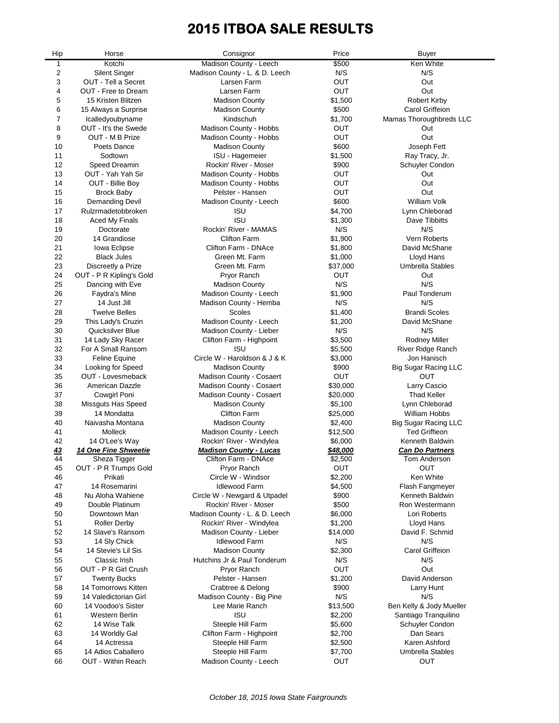# **2015 ITBOA SALE RESULTS**

| Hip            | Horse                            | Consignor                         | Price            | <b>Buyer</b>                       |
|----------------|----------------------------------|-----------------------------------|------------------|------------------------------------|
| $\mathbf{1}$   | Kotchi                           | Madison County - Leech            | \$500            | Ken White                          |
| $\overline{2}$ | <b>Silent Singer</b>             | Madison County - L. & D. Leech    | N/S              | N/S                                |
| 3              | OUT - Tell a Secret              | Larsen Farm                       | OUT              | Out                                |
| 4              | OUT - Free to Dream              | Larsen Farm                       | OUT              | Out                                |
| 5              | 15 Kristen Blitzen               | <b>Madison County</b>             | \$1,500          | <b>Robert Kirby</b>                |
| 6              | 15 Always a Surprise             | <b>Madison County</b>             | \$500            | Carol Griffeion                    |
| $\overline{7}$ | Icalledyoubyname                 | Kindschuh                         | \$1,700          | Mamas Thoroughbreds LLC            |
| 8              | OUT - It's the Swede             | Madison County - Hobbs            | OUT              | Out                                |
| 9              | OUT - M B Prize                  | Madison County - Hobbs            | OUT              | Out                                |
| 10             | Poets Dance                      | <b>Madison County</b>             | \$600            | Joseph Fett                        |
| 11             | Sodtown                          | ISU - Hagemeier                   | \$1,500          | Ray Tracy, Jr.                     |
| 12             | Speed Dreamin                    | Rockin' River - Moser             | \$900            | Schuyler Condon                    |
| 13             | OUT - Yah Yah Sir                | Madison County - Hobbs            | OUT              | Out                                |
| 14             | OUT - Billie Boy                 | Madison County - Hobbs            | OUT              | Out                                |
| 15             | <b>Brock Baby</b>                | Pelster - Hansen                  | OUT              | Out                                |
| 16             | <b>Demanding Devil</b>           | Madison County - Leech            | \$600            | <b>William Volk</b>                |
| 17             | Rulzrmadetobbroken               | <b>ISU</b>                        | \$4,700          | Lynn Chleborad                     |
| 18             | <b>Aced My Finals</b>            | <b>ISU</b>                        | \$1,300          | Dave Tibbitts                      |
| 19             | Doctorate                        | Rockin' River - MAMAS             | N/S              | N/S                                |
| 20             | 14 Grandiose                     | <b>Clifton Farm</b>               | \$1,900          | Vern Roberts                       |
| 21             | Iowa Eclipse                     | Clifton Farm - DNAce              | \$1,800          | David McShane                      |
| 22             | <b>Black Jules</b>               | Green Mt. Farm                    | \$1,000          | Lloyd Hans                         |
| 23             | Discreetly a Prize               | Green Mt. Farm                    | \$37,000         | <b>Umbrella Stables</b>            |
| 24             | OUT - P R Kipling's Gold         | Pryor Ranch                       | OUT              | Out                                |
| 25             | Dancing with Eve                 | <b>Madison County</b>             | N/S              | N/S                                |
| 26             | Faydra's Mine                    | Madison County - Leech            | \$1,900          | Paul Tonderum                      |
| 27             | 14 Just Jill                     | Madison County - Hemba            | N/S              | N/S                                |
| 28             | <b>Twelve Belles</b>             | Scoles                            | \$1,400          | <b>Brandi Scoles</b>               |
| 29             | This Lady's Cruzin               | Madison County - Leech            | \$1,200          | David McShane                      |
| 30             | Quicksilver Blue                 | Madison County - Lieber           | N/S              | N/S                                |
| 31             | 14 Lady Sky Racer                | Clifton Farm - Highpoint          | \$3,500          | <b>Rodney Miller</b>               |
| 32             | For A Small Ransom               | <b>ISU</b>                        | \$5,500          | River Ridge Ranch                  |
| 33             | Feline Equine                    | Circle W - Haroldson & J & K      | \$3,000          | Jon Hanisch                        |
| 34             | Looking for Speed                | <b>Madison County</b>             | \$900            | <b>Big Sugar Racing LLC</b>        |
| 35             | OUT - Lovesmeback                | Madison County - Cosaert          | <b>OUT</b>       | <b>OUT</b>                         |
| 36             | American Dazzle                  | Madison County - Cosaert          | \$30,000         | Larry Cascio                       |
| 37             | <b>Cowgirl Poni</b>              | Madison County - Cosaert          | \$20,000         | <b>Thad Keller</b>                 |
| 38             | <b>Missguts Has Speed</b>        | <b>Madison County</b>             | \$5,100          | Lynn Chleborad                     |
| 39             | 14 Mondatta                      | <b>Clifton Farm</b>               |                  |                                    |
|                |                                  |                                   | \$25,000         | William Hobbs                      |
| 40             | Naivasha Montana                 | <b>Madison County</b>             | \$2,400          | <b>Big Sugar Racing LLC</b>        |
| 41             | Molleck                          | Madison County - Leech            | \$12,500         | <b>Ted Griffieon</b>               |
| 42             | 14 O'Lee's Way                   | Rockin' River - Windylea          | \$6,000          | Kenneth Baldwin                    |
| 43             | <b>14 One Fine Shweetie</b>      | <b>Madison County - Lucas</b>     | \$48,000         | <b>Can Do Partners</b>             |
| 44             | Sheza ligger                     | Clifton Farm - DNAce              | \$2,500          | Tom Anderson                       |
| 45             | OUT - P R Trumps Gold<br>Prikati | Pryor Ranch<br>Circle W - Windsor | OUT              | OUT<br>Ken White                   |
| 46             | 14 Rosemarini                    | <b>Idlewood Farm</b>              | \$2,200          |                                    |
| 47             |                                  |                                   | \$4,500          | Flash Fangmeyer<br>Kenneth Baldwin |
| 48             | Nu Aloha Wahiene                 | Circle W - Newgard & Utpadel      | \$900            |                                    |
| 49             | Double Platinum<br>Downtown Man  | Rockin' River - Moser             | \$500<br>\$6,000 | Ron Westermann                     |
| 50             |                                  | Madison County - L. & D. Leech    |                  | Lori Roberts                       |
| 51             | <b>Roller Derby</b>              | Rockin' River - Windylea          | \$1,200          | Lloyd Hans                         |
| 52             | 14 Slave's Ransom                | Madison County - Lieber           | \$14,000         | David F. Schmid                    |
| 53             | 14 Sly Chick                     | <b>Idlewood Farm</b>              | N/S              | N/S                                |
| 54             | 14 Stevie's Lil Sis              | <b>Madison County</b>             | \$2,300          | Carol Griffeion                    |
| 55             | Classic Irish                    | Hutchins Jr & Paul Tonderum       | N/S              | N/S                                |
| 56             | OUT - P R Girl Crush             | Pryor Ranch                       | OUT              | Out                                |
| 57             | <b>Twenty Bucks</b>              | Pelster - Hansen                  | \$1,200          | David Anderson                     |
| 58             | 14 Tomorrows Kitten              | Crabtree & Delong                 | \$900            | Larry Hunt                         |
| 59             | 14 Valedictorian Girl            | Madison County - Big Pine         | N/S              | N/S                                |
| 60             | 14 Voodoo's Sister               | Lee Marie Ranch                   | \$13,500         | Ben Kelly & Jody Mueller           |
| 61             | Western Berlin                   | <b>ISU</b>                        | \$2,200          | Santiago Tranquilino               |
| 62             | 14 Wise Talk                     | Steeple Hill Farm                 | \$5,600          | Schuyler Condon                    |
| 63             | 14 Worldly Gal                   | Clifton Farm - Highpoint          | \$2,700          | Dan Sears                          |
| 64             | 14 Actressa                      | Steeple Hill Farm                 | \$2,500          | Karen Ashford                      |
| 65             | 14 Adios Caballero               | Steeple Hill Farm                 | \$7,700          | <b>Umbrella Stables</b>            |
| 66             | OUT - Within Reach               | Madison County - Leech            | OUT              | OUT                                |